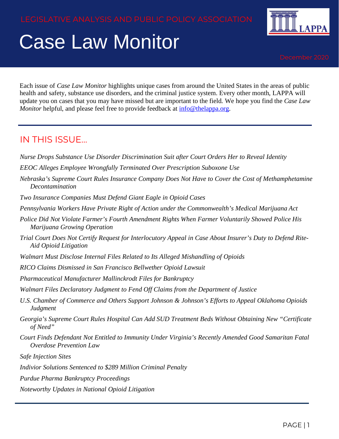# Case Law Monitor



Each issue of *Case Law Monitor* highlights unique cases from around the United States in the areas of public health and safety, substance use disorders, and the criminal justice system. Every other month, LAPPA will update you on cases that you may have missed but are important to the field. We hope you find the *Case Law Monitor* helpful, and please feel free to provide feedback at [info@thelappa.org.](mailto:info@thelappa.org)

#### IN THIS ISSUE…

- *Nurse Drops Substance Use Disorder Discrimination Suit after Court Orders Her to Reveal Identity*
- *EEOC Alleges Employee Wrongfully Terminated Over Prescription Suboxone Use*
- *Nebraska's Supreme Court Rules Insurance Company Does Not Have to Cover the Cost of Methamphetamine Decontamination*
- *Two Insurance Companies Must Defend Giant Eagle in Opioid Cases*
- *Pennsylvania Workers Have Private Right of Action under the Commonwealth's Medical Marijuana Act*
- *Police Did Not Violate Farmer's Fourth Amendment Rights When Farmer Voluntarily Showed Police His Marijuana Growing Operation*
- *Trial Court Does Not Certify Request for Interlocutory Appeal in Case About Insurer's Duty to Defend Rite-Aid Opioid Litigation*
- *Walmart Must Disclose Internal Files Related to Its Alleged Mishandling of Opioids*
- *RICO Claims Dismissed in San Francisco Bellwether Opioid Lawsuit*
- *Pharmaceutical Manufacturer Mallinckrodt Files for Bankruptcy*
- *Walmart Files Declaratory Judgment to Fend Off Claims from the Department of Justice*
- *U.S. Chamber of Commerce and Others Support Johnson & Johnson's Efforts to Appeal Oklahoma Opioids Judgment*
- *Georgia's Supreme Court Rules Hospital Can Add SUD Treatment Beds Without Obtaining New "Certificate of Need"*
- *Court Finds Defendant Not Entitled to Immunity Under Virginia's Recently Amended Good Samaritan Fatal Overdose Prevention Law*
- *Safe Injection Sites*
- *Indivior Solutions Sentenced to \$289 Million Criminal Penalty*
- *Purdue Pharma Bankruptcy Proceedings*
- *Noteworthy Updates in National Opioid Litigation*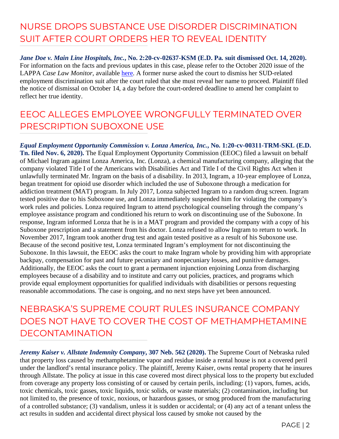#### NURSE DROPS SUBSTANCE USE DISORDER DISCRIMINATION SUIT AFTER COURT ORDERS HER TO REVEAL IDENTITY

*Jane Doe v. Main Line Hospitals, Inc.***, No. 2:20-cv-02637-KSM (E.D. Pa. suit dismissed Oct. 14, 2020).** For information on the facts and previous updates in this case, please refer to the October 2020 issue of the LAPPA *Case Law Monitor,* available [here.](https://legislativeanalysis.org/wp-content/uploads/2020/10/October-2020-Case-Law-Monitor-1.pdf) A former nurse asked the court to dismiss her SUD-related employment discrimination suit after the court ruled that she must reveal her name to proceed. Plaintiff filed the notice of dismissal on October 14, a day before the court-ordered deadline to amend her complaint to reflect her true identity.

#### EEOC ALLEGES EMPLOYEE WRONGFULLY TERMINATED OVER PRESCRIPTION SUBOXONE USE

*Equal Employment Opportunity Commission v. Lonza America, Inc.***, No. 1:20-cv-00311-TRM-SKL (E.D. Tn. filed Nov. 6, 2020).** The Equal Employment Opportunity Commission (EEOC) filed a lawsuit on behalf of Michael Ingram against Lonza America, Inc. (Lonza), a chemical manufacturing company, alleging that the company violated Title I of the Americans with Disabilities Act and Title I of the Civil Rights Act when it unlawfully terminated Mr. Ingram on the basis of a disability. In 2013, Ingram, a 10-year employee of Lonza, began treatment for opioid use disorder which included the use of Suboxone through a medication for addiction treatment (MAT) program. In July 2017, Lonza subjected Ingram to a random drug screen. Ingram tested positive due to his Suboxone use, and Lonza immediately suspended him for violating the company's work rules and policies. Lonza required Ingram to attend psychological counseling through the company's employee assistance program and conditioned his return to work on discontinuing use of the Suboxone. In response, Ingram informed Lonza that he is in a MAT program and provided the company with a copy of his Suboxone prescription and a statement from his doctor. Lonza refused to allow Ingram to return to work. In November 2017, Ingram took another drug test and again tested positive as a result of his Suboxone use. Because of the second positive test, Lonza terminated Ingram's employment for not discontinuing the Suboxone. In this lawsuit, the EEOC asks the court to make Ingram whole by providing him with appropriate backpay, compensation for past and future pecuniary and nonpecuniary losses, and punitive damages. Additionally, the EEOC asks the court to grant a permanent injunction enjoining Lonza from discharging employees because of a disability and to institute and carry out policies, practices, and programs which provide equal employment opportunities for qualified individuals with disabilities or persons requesting reasonable accommodations. The case is ongoing, and no next steps have yet been announced.

NEBRASKA'S SUPREME COURT RULES INSURANCE COMPANY DOES NOT HAVE TO COVER THE COST OF METHAMPHETAMINE DECONTAMINATION

*Jeremy Kaiser v. Allstate Indemnity Company***, 307 Neb. 562 (2020).** The Supreme Court of Nebraska ruled that property loss caused by methamphetamine vapor and residue inside a rental house is not a covered peril under the landlord's rental insurance policy. The plaintiff, Jeremy Kaiser, owns rental property that he insures through Allstate. The policy at issue in this case covered most direct physical loss to the property but excluded from coverage any property loss consisting of or caused by certain perils, including: (1) vapors, fumes, acids, toxic chemicals, toxic gasses, toxic liquids, toxic solids, or waste materials; (2) contamination, including but not limited to, the presence of toxic, noxious, or hazardous gasses, or smog produced from the manufacturing of a controlled substance; (3) vandalism, unless it is sudden or accidental; or (4) any act of a tenant unless the act results in sudden and accidental direct physical loss caused by smoke not caused by the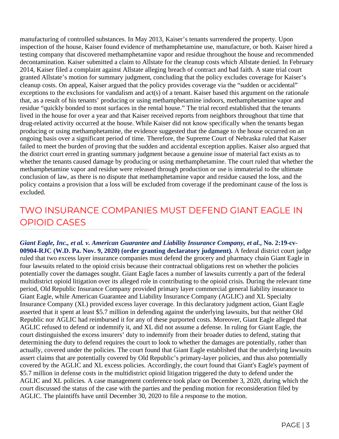manufacturing of controlled substances. In May 2013, Kaiser's tenants surrendered the property. Upon inspection of the house, Kaiser found evidence of methamphetamine use, manufacture, or both. Kaiser hired a testing company that discovered methamphetamine vapor and residue throughout the house and recommended decontamination. Kaiser submitted a claim to Allstate for the cleanup costs which Allstate denied. In February 2014, Kaiser filed a complaint against Allstate alleging breach of contract and bad faith. A state trial court granted Allstate's motion for summary judgment, concluding that the policy excludes coverage for Kaiser's cleanup costs. On appeal, Kaiser argued that the policy provides coverage via the "sudden or accidental" exceptions to the exclusions for vandalism and act(s) of a tenant. Kaiser based this argument on the rationale that, as a result of his tenants' producing or using methamphetamine indoors, methamphetamine vapor and residue "quickly bonded to most surfaces in the rental house." The trial record established that the tenants lived in the house for over a year and that Kaiser received reports from neighbors throughout that time that drug-related activity occurred at the house. While Kaiser did not know specifically when the tenants began producing or using methamphetamine, the evidence suggested that the damage to the house occurred on an ongoing basis over a significant period of time. Therefore, the Supreme Court of Nebraska ruled that Kaiser failed to meet the burden of proving that the sudden and accidental exception applies. Kaiser also argued that the district court erred in granting summary judgment because a genuine issue of material fact exists as to whether the tenants caused damage by producing or using methamphetamine. The court ruled that whether the methamphetamine vapor and residue were released through production or use is immaterial to the ultimate conclusion of law, as there is no dispute that methamphetamine vapor and residue caused the loss, and the policy contains a provision that a loss will be excluded from coverage if the predominant cause of the loss is excluded.

### TWO INSURANCE COMPANIES MUST DEFEND GIANT EAGLE IN OPIOID CASES

*Giant Eagle, Inc., et al. v. American Guarantee and Liability Insurance Company, et al.***, No. 2:19-cv-00904-RJC (W.D. Pa. Nov. 9, 2020) (order granting declaratory judgment).** A federal district court judge ruled that two excess layer insurance companies must defend the grocery and pharmacy chain Giant Eagle in four lawsuits related to the opioid crisis because their contractual obligations rest on whether the policies potentially cover the damages sought. Giant Eagle faces a number of lawsuits currently a part of the federal multidistrict opioid litigation over its alleged role in contributing to the opioid crisis. During the relevant time period, Old Republic Insurance Company provided primary layer commercial general liability insurance to Giant Eagle, while American Guarantee and Liability Insurance Company (AGLIC) and XL Specialty Insurance Company (XL) provided excess layer coverage. In this declaratory judgment action, Giant Eagle asserted that it spent at least \$5.7 million in defending against the underlying lawsuits, but that neither Old Republic nor AGLIC had reimbursed it for any of these purported costs. Moreover, Giant Eagle alleged that AGLIC refused to defend or indemnify it, and XL did not assume a defense. In ruling for Giant Eagle, the court distinguished the excess insurers' duty to indemnify from their broader duties to defend, stating that determining the duty to defend requires the court to look to whether the damages are potentially, rather than actually, covered under the policies. The court found that Giant Eagle established that the underlying lawsuits assert claims that are potentially covered by Old Republic's primary-layer policies, and thus also potentially covered by the AGLIC and XL excess policies. Accordingly, the court found that Giant's Eagle's payment of \$5.7 million in defense costs in the multidistrict opioid litigation triggered the duty to defend under the AGLIC and XL policies. A case management conference took place on December 3, 2020, during which the court discussed the status of the case with the parties and the pending motion for reconsideration filed by AGLIC. The plaintiffs have until December 30, 2020 to file a response to the motion.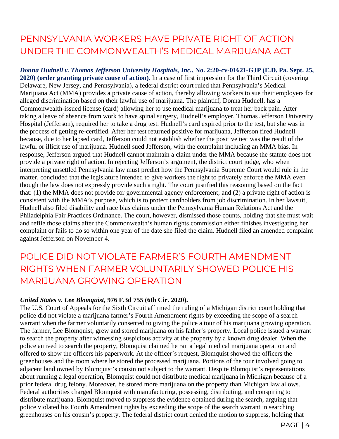# PENNSYLVANIA WORKERS HAVE PRIVATE RIGHT OF ACTION UNDER THE COMMONWEALTH'S MEDICAL MARIJUANA ACT

*Donna Hudnell v. Thomas Jefferson University Hospitals, Inc.***, No. 2:20-cv-01621-GJP (E.D. Pa. Sept. 25, 2020) (order granting private cause of action).** In a case of first impression for the Third Circuit (covering Delaware, New Jersey, and Pennsylvania), a federal district court ruled that Pennsylvania's Medical Marijuana Act (MMA) provides a private cause of action, thereby allowing workers to sue their employers for alleged discrimination based on their lawful use of marijuana. The plaintiff, Donna Hudnell, has a Commonwealth-issued license (card) allowing her to use medical marijuana to treat her back pain. After taking a leave of absence from work to have spinal surgery, Hudnell's employer, Thomas Jefferson University Hospital (Jefferson), required her to take a drug test. Hudnell's card expired prior to the test, but she was in the process of getting re-certified. After her test returned positive for marijuana, Jefferson fired Hudnell because, due to her lapsed card, Jefferson could not establish whether the positive test was the result of the lawful or illicit use of marijuana. Hudnell sued Jefferson, with the complaint including an MMA bias. In response, Jefferson argued that Hudnell cannot maintain a claim under the MMA because the statute does not provide a private right of action. In rejecting Jefferson's argument, the district court judge, who when interpreting unsettled Pennsylvania law must predict how the Pennsylvania Supreme Court would rule in the matter, concluded that the legislature intended to give workers the right to privately enforce the MMA even though the law does not expressly provide such a right. The court justified this reasoning based on the fact that: (1) the MMA does not provide for governmental agency enforcement; and (2) a private right of action is consistent with the MMA's purpose, which is to protect cardholders from job discrimination. In her lawsuit, Hudnell also filed disability and race bias claims under the Pennsylvania Human Relations Act and the Philadelphia Fair Practices Ordinance. The court, however, dismissed those counts, holding that she must wait and refile those claims after the Commonwealth's human rights commission either finishes investigating her complaint or fails to do so within one year of the date she filed the claim. Hudnell filed an amended complaint against Jefferson on November 4.

POLICE DID NOT VIOLATE FARMER'S FOURTH AMENDMENT RIGHTS WHEN FARMER VOLUNTARILY SHOWED POLICE HIS MARIJUANA GROWING OPERATION

#### *United States v. Lee Blomquist***, 976 F.3d 755 (6th Cir. 2020).**

The U.S. Court of Appeals for the Sixth Circuit affirmed the ruling of a Michigan district court holding that police did not violate a marijuana farmer's Fourth Amendment rights by exceeding the scope of a search warrant when the farmer voluntarily consented to giving the police a tour of his marijuana growing operation. The farmer, Lee Blomquist, grew and stored marijuana on his father's property. Local police issued a warrant to search the property after witnessing suspicious activity at the property by a known drug dealer. When the police arrived to search the property, Blomquist claimed he ran a legal medical marijuana operation and offered to show the officers his paperwork. At the officer's request, Blomquist showed the officers the greenhouses and the room where he stored the processed marijuana. Portions of the tour involved going to adjacent land owned by Blomquist's cousin not subject to the warrant. Despite Blomquist's representations about running a legal operation, Blomquist could not distribute medical marijuana in Michigan because of a prior federal drug felony. Moreover, he stored more marijuana on the property than Michigan law allows. Federal authorities charged Blomquist with manufacturing, possessing, distributing, and conspiring to distribute marijuana. Blomquist moved to suppress the evidence obtained during the search, arguing that police violated his Fourth Amendment rights by exceeding the scope of the search warrant in searching greenhouses on his cousin's property. The federal district court denied the motion to suppress, holding that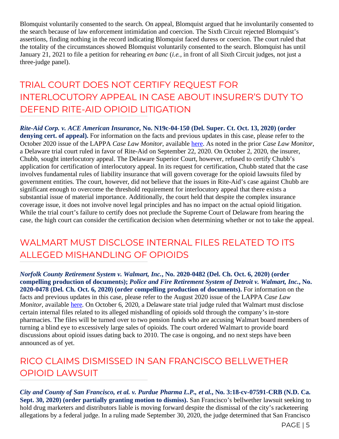Blomquist voluntarily consented to the search. On appeal, Blomquist argued that he involuntarily consented to the search because of law enforcement intimidation and coercion. The Sixth Circuit rejected Blomquist's assertions, finding nothing in the record indicating Blomquist faced duress or coercion. The court ruled that the totality of the circumstances showed Blomquist voluntarily consented to the search. Blomquist has until January 21, 2021 to file a petition for rehearing *en banc* (*i.e.,* in front of all Sixth Circuit judges, not just a three-judge panel).

### TRIAL COURT DOES NOT CERTIFY REQUEST FOR INTERLOCUTORY APPEAL IN CASE ABOUT INSURER'S DUTY TO DEFEND RITE-AID OPIOID LITIGATION

*Rite-Aid Corp. v. ACE American Insurance***, No. N19c-04-150 (Del. Super. Ct. Oct. 13, 2020) (order denying cert. of appeal).** For information on the facts and previous updates in this case, please refer to the October 2020 issue of the LAPPA *Case Law Monitor*, available [here.](https://legislativeanalysis.org/wp-content/uploads/2020/10/October-2020-Case-Law-Monitor-1.pdf) As noted in the prior *Case Law Monitor*, a Delaware trial court ruled in favor of Rite-Aid on September 22, 2020. On October 2, 2020, the insurer, Chubb, sought interlocutory appeal. The Delaware Superior Court, however, refused to certify Chubb's application for certification of interlocutory appeal. In its request for certification, Chubb stated that the case involves fundamental rules of liability insurance that will govern coverage for the opioid lawsuits filed by government entities. The court, however, did not believe that the issues in Rite-Aid's case against Chubb are significant enough to overcome the threshold requirement for interlocutory appeal that there exists a substantial issue of material importance. Additionally, the court held that despite the complex insurance coverage issue, it does not involve novel legal principles and has no impact on the actual opioid litigation. While the trial court's failure to certify does not preclude the Supreme Court of Delaware from hearing the case, the high court can consider the certification decision when determining whether or not to take the appeal.

### WAI MART MUST DISCLOSE INTERNAL FILES RELATED TO ITS ALLEGED MISHANDLING OF OPIOIDS

*Norfolk County Retirement System v. Walmart, Inc.***, No. 2020-0482 (Del. Ch. Oct. 6, 2020) (order compelling production of documents);** *Police and Fire Retirement System of Detroit v. Walmart, Inc.***, No. 2020-0478 (Del. Ch. Oct. 6, 2020) (order compelling production of documents).** For information on the facts and previous updates in this case, please refer to the August 2020 issue of the LAPPA *Case Law Monitor*, available [here.](https://legislativeanalysis.org/wp-content/uploads/2020/08/August-2020-Case-Law-Monitor-.pdf) On October 6, 2020, a Delaware state trial judge ruled that Walmart must disclose certain internal files related to its alleged mishandling of opioids sold through the company's in-store pharmacies. The files will be turned over to two pension funds who are accusing Walmart board members of turning a blind eye to excessively large sales of opioids. The court ordered Walmart to provide board discussions about opioid issues dating back to 2010. The case is ongoing, and no next steps have been announced as of yet.

#### RICO CLAIMS DISMISSED IN SAN FRANCISCO BELLWETHER OPIOID LAWSUIT

*City and County of San Francisco, et al. v. Purdue Pharma L.P., et al.***, No. 3:18-cv-07591-CRB (N.D. Ca. Sept. 30, 2020) (order partially granting motion to dismiss).** San Francisco's bellwether lawsuit seeking to hold drug marketers and distributors liable is moving forward despite the dismissal of the city's racketeering allegations by a federal judge. In a ruling made September 30, 2020, the judge determined that San Francisco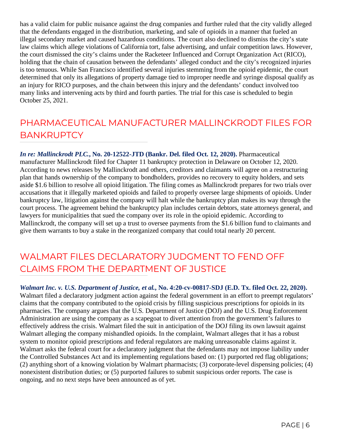has a valid claim for public nuisance against the drug companies and further ruled that the city validly alleged that the defendants engaged in the distribution, marketing, and sale of opioids in a manner that fueled an illegal secondary market and caused hazardous conditions. The court also declined to dismiss the city's state law claims which allege violations of California tort, false advertising, and unfair competition laws. However, the court dismissed the city's claims under the Racketeer Influenced and Corrupt Organization Act (RICO), holding that the chain of causation between the defendants' alleged conduct and the city's recognized injuries is too tenuous. While San Francisco identified several injuries stemming from the opioid epidemic, the court determined that only its allegations of property damage tied to improper needle and syringe disposal qualify as an injury for RICO purposes, and the chain between this injury and the defendants' conduct involved too many links and intervening acts by third and fourth parties. The trial for this case is scheduled to begin October 25, 2021.

# PHARMACEUTICAL MANUFACTURER MALLINCKRODT FILES FOR **BANKRUPTCY**

*In re: Mallinckrodt PLC.***, No. 20-12522-JTD (Bankr. Del. filed Oct. 12, 2020).** Pharmaceutical manufacturer Mallinckrodt filed for Chapter 11 bankruptcy protection in Delaware on October 12, 2020. According to news releases by Mallinckrodt and others, creditors and claimants will agree on a restructuring plan that hands ownership of the company to bondholders, provides no recovery to equity holders, and sets aside \$1.6 billion to resolve all opioid litigation. The filing comes as Mallinckrodt prepares for two trials over accusations that it illegally marketed opioids and failed to properly oversee large shipments of opioids. Under bankruptcy law, litigation against the company will halt while the bankruptcy plan makes its way through the court process. The agreement behind the bankruptcy plan includes certain debtors, state attorneys general, and lawyers for municipalities that sued the company over its role in the opioid epidemic. According to Mallinckrodt, the company will set up a trust to oversee payments from the \$1.6 billion fund to claimants and give them warrants to buy a stake in the reorganized company that could total nearly 20 percent.

#### WALMART FILES DECLARATORY JUDGMENT TO FEND OFF CLAIMS FROM THE DEPARTMENT OF JUSTICE

*Walmart Inc. v. U.S. Department of Justice, et al.***, No. 4:20-cv-00817-SDJ (E.D. Tx. filed Oct. 22, 2020).**  Walmart filed a declaratory judgment action against the federal government in an effort to preempt regulators' claims that the company contributed to the opioid crisis by filling suspicious prescriptions for opioids in its pharmacies. The company argues that the U.S. Department of Justice (DOJ) and the U.S. Drug Enforcement Administration are using the company as a scapegoat to divert attention from the government's failures to effectively address the crisis. Walmart filed the suit in anticipation of the DOJ filing its own lawsuit against Walmart alleging the company mishandled opioids. In the complaint, Walmart alleges that it has a robust system to monitor opioid prescriptions and federal regulators are making unreasonable claims against it. Walmart asks the federal court for a declaratory judgment that the defendants may not impose liability under the Controlled Substances Act and its implementing regulations based on: (1) purported red flag obligations; (2) anything short of a knowing violation by Walmart pharmacists; (3) corporate-level dispensing policies; (4) nonexistent distribution duties; or (5) purported failures to submit suspicious order reports. The case is ongoing, and no next steps have been announced as of yet.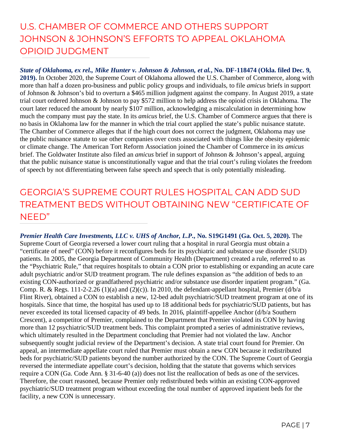# U.S. CHAMBER OF COMMERCE AND OTHERS SUPPORT JOHNSON & JOHNSON'S EFFORTS TO APPEAL OKLAHOMA OPIOID JUDGMENT

*State of Oklahoma, ex rel., Mike Hunter v. Johnson & Johnson, et al.***, No. DF-118474 (Okla. filed Dec. 9, 2019).** In October 2020, the Supreme Court of Oklahoma allowed the U.S. Chamber of Commerce, along with more than half a dozen pro-business and public policy groups and individuals, to file *amicus* briefs in support of Johnson & Johnson's bid to overturn a \$465 million judgment against the company. In August 2019, a state trial court ordered Johnson & Johnson to pay \$572 million to help address the opioid crisis in Oklahoma. The court later reduced the amount by nearly \$107 million, acknowledging a miscalculation in determining how much the company must pay the state. In its *amicus* brief, the U.S. Chamber of Commerce argues that there is no basis in Oklahoma law for the manner in which the trial court applied the state's public nuisance statute. The Chamber of Commerce alleges that if the high court does not correct the judgment, Oklahoma may use the public nuisance statute to sue other companies over costs associated with things like the obesity epidemic or climate change. The American Tort Reform Association joined the Chamber of Commerce in its *amicus* brief. The Goldwater Institute also filed an *amicus* brief in support of Johnson & Johnson's appeal, arguing that the public nuisance statue is unconstitutionally vague and that the trial court's ruling violates the freedom of speech by not differentiating between false speech and speech that is only potentially misleading.

### GEORGIA'S SUPREME COURT RULES HOSPITAL CAN ADD SUD TREATMENT BEDS WITHOUT OBTAINING NEW "CERTIFICATE OF NEED"

*Premier Health Care Investments, LLC v. UHS of Anchor, L.P.***, No. S19G1491 (Ga. Oct. 5, 2020).** The Supreme Court of Georgia reversed a lower court ruling that a hospital in rural Georgia must obtain a "certificate of need" (CON) before it reconfigures beds for its psychiatric and substance use disorder (SUD) patients. In 2005, the Georgia Department of Community Health (Department) created a rule, referred to as the "Psychiatric Rule," that requires hospitals to obtain a CON prior to establishing or expanding an acute care adult psychiatric and/or SUD treatment program. The rule defines expansion as "the addition of beds to an existing CON-authorized or grandfathered psychiatric and/or substance use disorder inpatient program." (Ga. Comp. R. & Regs. 111-2-2.26 (1)(a) and (2)(c)). In 2010, the defendant-appellant hospital, Premier (d/b/a Flint River), obtained a CON to establish a new, 12-bed adult psychiatric/SUD treatment program at one of its hospitals. Since that time, the hospital has used up to 18 additional beds for psychiatric/SUD patients, but has never exceeded its total licensed capacity of 49 beds. In 2016, plaintiff-appellee Anchor (d/b/a Southern Crescent), a competitor of Premier, complained to the Department that Premier violated its CON by having more than 12 psychiatric/SUD treatment beds. This complaint prompted a series of administrative reviews, which ultimately resulted in the Department concluding that Premier had not violated the law. Anchor subsequently sought judicial review of the Department's decision. A state trial court found for Premier. On appeal, an intermediate appellate court ruled that Premier must obtain a new CON because it redistributed beds for psychiatric/SUD patients beyond the number authorized by the CON. The Supreme Court of Georgia reversed the intermediate appellate court's decision, holding that the statute that governs which services require a CON (Ga. Code Ann. § 31-6-40 (a)) does not list the reallocation of beds as one of the services. Therefore, the court reasoned, because Premier only redistributed beds within an existing CON-approved psychiatric/SUD treatment program without exceeding the total number of approved inpatient beds for the facility, a new CON is unnecessary.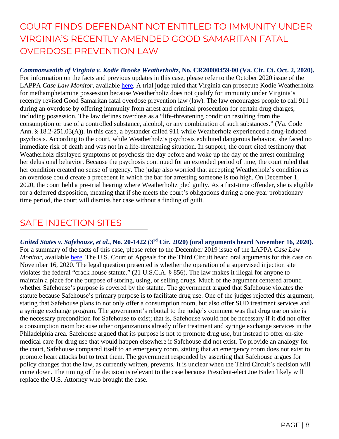# COURT FINDS DEFENDANT NOT ENTITLED TO IMMUNITY UNDER VIRGINIA'S RECENTLY AMENDED GOOD SAMARITAN FATAL OVERDOSE PREVENTION LAW

*Commonwealth of Virginia v. Kodie Brooke Weatherholtz***, No. CR20000459-00 (Va. Cir. Ct. Oct. 2, 2020).** For information on the facts and previous updates in this case, please refer to the October 2020 issue of the LAPPA *Case Law Monitor*, available [here.](https://legislativeanalysis.org/wp-content/uploads/2020/10/October-2020-Case-Law-Monitor-1.pdf) A trial judge ruled that Virginia can prosecute Kodie Weatherholtz for methamphetamine possession because Weatherholtz does not qualify for immunity under Virginia's recently revised Good Samaritan fatal overdose prevention law (law). The law encourages people to call 911 during an overdose by offering immunity from arrest and criminal prosecution for certain drug charges, including possession. The law defines overdose as a "life-threatening condition resulting from the consumption or use of a controlled substance, alcohol, or any combination of such substances." (Va. Code Ann. § 18.2-251.03(A)). In this case, a bystander called 911 while Weatherholz experienced a drug-induced psychosis. According to the court, while Weatherholz's psychosis exhibited dangerous behavior, she faced no immediate risk of death and was not in a life-threatening situation. In support, the court cited testimony that Weatherholz displayed symptoms of psychosis the day before and woke up the day of the arrest continuing her delusional behavior. Because the psychosis continued for an extended period of time, the court ruled that her condition created no sense of urgency. The judge also worried that accepting Weatherholz's condition as an overdose could create a precedent in which the bar for arresting someone is too high. On December 1, 2020, the court held a pre-trial hearing where Weatherholtz pled guilty. As a first-time offender, she is eligible for a deferred disposition, meaning that if she meets the court's obligations during a one-year probationary time period, the court will dismiss her case without a finding of guilt.

#### SAFE INJECTION SITES

*United States v. Safehouse, et al.***, No. 20-1422 (3rd Cir. 2020) (oral arguments heard November 16, 2020).**  For a summary of the facts of this case, please refer to the December 2019 issue of the LAPPA *Case Law Monitor*, available [here.](http://legislativeanalysis.org/wp-content/uploads/2020/01/LAPPA-Case-Law-Monitor-Volume-1-Issue-1-2.pdf) The U.S. Court of Appeals for the Third Circuit heard oral arguments for this case on November 16, 2020. The legal question presented is whether the operation of a supervised injection site violates the federal "crack house statute." (21 U.S.C.A. § 856). The law makes it illegal for anyone to maintain a place for the purpose of storing, using, or selling drugs. Much of the argument centered around whether Safehouse's purpose is covered by the statute. The government argued that Safehouse violates the statute because Safehouse's primary purpose is to facilitate drug use. One of the judges rejected this argument, stating that Safehouse plans to not only offer a consumption room, but also offer SUD treatment services and a syringe exchange program. The government's rebuttal to the judge's comment was that drug use on site is the necessary precondition for Safehouse to exist; that is, Safehouse would not be necessary if it did not offer a consumption room because other organizations already offer treatment and syringe exchange services in the Philadelphia area. Safehouse argued that its purpose is not to promote drug use, but instead to offer on-site medical care for drug use that would happen elsewhere if Safehouse did not exist. To provide an analogy for the court, Safehouse compared itself to an emergency room, stating that an emergency room does not exist to promote heart attacks but to treat them. The government responded by asserting that Safehouse argues for policy changes that the law, as currently written, prevents. It is unclear when the Third Circuit's decision will come down. The timing of the decision is relevant to the case because President-elect Joe Biden likely will replace the U.S. Attorney who brought the case.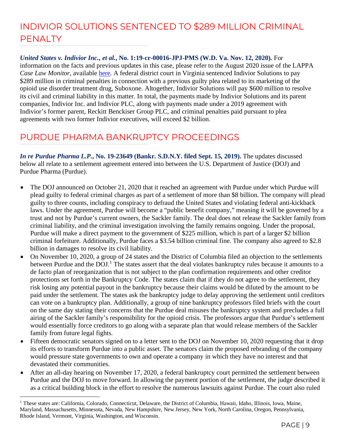# INDIVIOR SOLUTIONS SENTENCED TO \$289 MILLION CRIMINAL **PENALTY**

*United States v. Indivior Inc., et al.***, No. 1:19-cr-00016-JPJ-PMS (W.D. Va. Nov. 12, 2020).** For information on the facts and previous updates in this case, please refer to the August 2020 issue of the LAPPA *Case Law Monitor*, available [here.](https://legislativeanalysis.org/wp-content/uploads/2020/08/August-2020-Case-Law-Monitor-.pdf) A federal district court in Virginia sentenced Indivior Solutions to pay \$289 million in criminal penalties in connection with a previous guilty plea related to its marketing of the opioid use disorder treatment drug, Suboxone. Altogether, Indivior Solutions will pay \$600 million to resolve its civil and criminal liability in this matter. In total, the payments made by Indivior Solutions and its parent companies, Indivior Inc. and Indivior PLC, along with payments made under a 2019 agreement with Indivior's former parent, Reckitt Benckiser Group PLC, and criminal penalties paid pursuant to plea agreements with two former Indivior executives, will exceed \$2 billion.

#### PURDUE PHARMA BANKRUPTCY PROCEEDINGS

*In re Purdue Pharma L.P.***, No. 19-23649 (Bankr. S.D.N.Y. filed Sept. 15, 2019).** The updates discussed below all relate to a settlement agreement entered into between the U.S. Department of Justice (DOJ) and Purdue Pharma (Purdue).

- The DOJ announced on October 21, 2020 that it reached an agreement with Purdue under which Purdue will plead guilty to federal criminal charges as part of a settlement of more than \$8 billion. The company will plead guilty to three counts, including conspiracy to defraud the United States and violating federal anti-kickback laws. Under the agreement, Purdue will become a "public benefit company," meaning it will be governed by a trust and not by Purdue's current owners, the Sackler family. The deal does not release the Sackler family from criminal liability, and the criminal investigation involving the family remains ongoing. Under the proposal, Purdue will make a direct payment to the government of \$225 million, which is part of a larger \$2 billion criminal forfeiture. Additionally, Purdue faces a \$3.54 billion criminal fine. The company also agreed to \$2.8 billion in damages to resolve its civil liability.
- On November 10, 2020, a group of 24 states and the District of Columbia filed an objection to the settlements between Purdue and the DOJ.<sup>[1](#page-8-0)</sup> The states assert that the deal violates bankruptcy rules because it amounts to a de facto plan of reorganization that is not subject to the plan confirmation requirements and other creditor protections set forth in the Bankruptcy Code. The states claim that if they do not agree to the settlement, they risk losing any potential payout in the bankruptcy because their claims would be diluted by the amount to be paid under the settlement. The states ask the bankruptcy judge to delay approving the settlement until creditors can vote on a bankruptcy plan. Additionally, a group of nine bankruptcy professors filed briefs with the court on the same day stating their concerns that the Purdue deal misuses the bankruptcy system and precludes a full airing of the Sackler family's responsibility for the opioid crisis. The professors argue that Purdue's settlement would essentially force creditors to go along with a separate plan that would release members of the Sackler family from future legal fights.
- Fifteen democratic senators signed on to a letter sent to the DOJ on November 10, 2020 requesting that it drop its efforts to transform Purdue into a public asset. The senators claim the proposed rebranding of the company would pressure state governments to own and operate a company in which they have no interest and that devastated their communities.
- After an all-day hearing on November 17, 2020, a federal bankruptcy court permitted the settlement between Purdue and the DOJ to move forward. In allowing the payment portion of the settlement, the judge described it as a critical building block in the effort to resolve the numerous lawsuits against Purdue. The court also ruled

<span id="page-8-0"></span><sup>&</sup>lt;sup>1</sup> These states are: California, Colorado, Connecticut, Delaware, the District of Columbia, Hawaii, Idaho, Illinois, Iowa, Maine, Maryland, Massachusetts, Minnesota, Nevada, New Hampshire, New Jersey, New York, North Carolina, Oregon, Pennsylvania, Rhode Island, Vermont, Virginia, Washington, and Wisconsin.